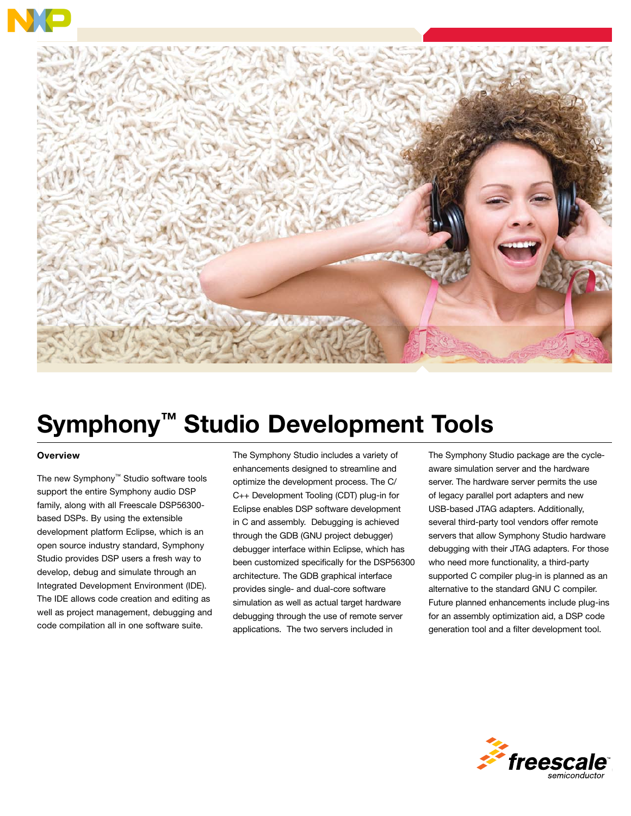



# Symphony™ Studio Development Tools

#### **Overview**

The new Symphony™ Studio software tools support the entire Symphony audio DSP family, along with all Freescale DSP56300 based DSPs. By using the extensible development platform Eclipse, which is an open source industry standard, Symphony Studio provides DSP users a fresh way to develop, debug and simulate through an Integrated Development Environment (IDE). The IDE allows code creation and editing as well as project management, debugging and code compilation all in one software suite.

The Symphony Studio includes a variety of enhancements designed to streamline and optimize the development process. The C/ C++ Development Tooling (CDT) plug-in for Eclipse enables DSP software development in C and assembly. Debugging is achieved through the GDB (GNU project debugger) debugger interface within Eclipse, which has been customized specifically for the DSP56300 architecture. The GDB graphical interface provides single- and dual-core software simulation as well as actual target hardware debugging through the use of remote server applications. The two servers included in

The Symphony Studio package are the cycleaware simulation server and the hardware server. The hardware server permits the use of legacy parallel port adapters and new USB-based JTAG adapters. Additionally, several third-party tool vendors offer remote servers that allow Symphony Studio hardware debugging with their JTAG adapters. For those who need more functionality, a third-party supported C compiler plug-in is planned as an alternative to the standard GNU C compiler. Future planned enhancements include plug-ins for an assembly optimization aid, a DSP code generation tool and a filter development tool.